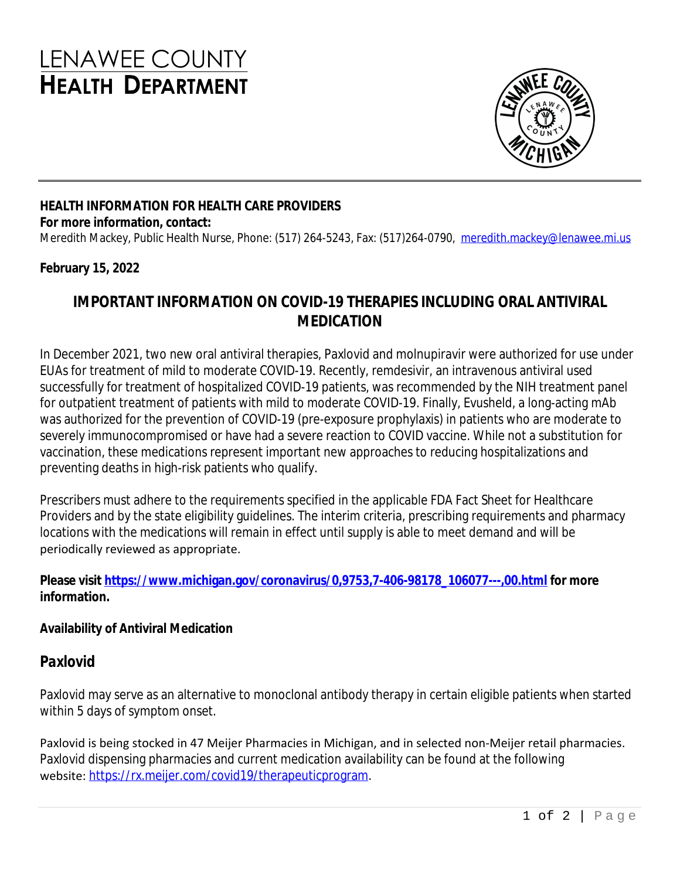# **LENAWEE COUNTY HEALTH DEPARTMENT**



## **HEALTH INFORMATION FOR HEALTH CARE PROVIDERS**

#### **For more information, contact:**

Meredith Mackey, Public Health Nurse, Phone: (517) 264-5243, Fax: (517) 264-0790, [meredith.mackey@lenawee.mi.us](mailto:meredith.mackey@lenawee.mi.us)

#### **February 15, 2022**

### **IMPORTANT INFORMATION ON COVID-19 THERAPIES INCLUDING ORAL ANTIVIRAL MEDICATION**

In December 2021, two new oral antiviral therapies, Paxlovid and molnupiravir were authorized for use under EUAs for treatment of mild to moderate COVID-19. Recently, remdesivir, an intravenous antiviral used successfully for treatment of hospitalized COVID-19 patients, was recommended by the NIH treatment panel for outpatient treatment of patients with mild to moderate COVID-19. Finally, Evusheld, a long-acting mAb was authorized for the prevention of COVID-19 (pre-exposure prophylaxis) in patients who are moderate to severely immunocompromised or have had a severe reaction to COVID vaccine. While not a substitution for vaccination, these medications represent important new approaches to reducing hospitalizations and preventing deaths in high-risk patients who qualify.

Prescribers must adhere to the requirements specified in the applicable FDA Fact Sheet for Healthcare Providers and by the state eligibility guidelines. The interim criteria, prescribing requirements and pharmacy locations with the medications will remain in effect until supply is able to meet demand and will be periodically reviewed as appropriate.

**Please visit [https://www.michigan.gov/coronavirus/0,9753,7-406-98178\\_106077---,00.html](https://www.michigan.gov/coronavirus/0,9753,7-406-98178_106077---,00.html) for more information.** 

#### **Availability of Antiviral Medication**

#### *Paxlovid*

Paxlovid may serve as an alternative to monoclonal antibody therapy in certain eligible patients when started within 5 days of symptom onset.

Paxlovid is being stocked in 47 Meijer Pharmacies in Michigan, and in selected non-Meijer retail pharmacies. Paxlovid dispensing pharmacies and current medication availability can be found at the following website: [https://rx.meijer.com/covid19/therapeuticprogram.](https://gcc02.safelinks.protection.outlook.com/?url=https%3A%2F%2Frx.meijer.com%2Fcovid19%2Ftherapeuticprogram&data=04%7C01%7CMDHHS-CHECCComms%40michigan.gov%7Cb5a5a08475784df3c91c08d9e764a853%7Cd5fb7087377742ad966a892ef47225d1%7C0%7C0%7C637795242060798390%7CUnknown%7CTWFpbGZsb3d8eyJWIjoiMC4wLjAwMDAiLCJQIjoiV2luMzIiLCJBTiI6Ik1haWwiLCJXVCI6Mn0%3D%7C3000&sdata=BGuzy9lSqI1EAoaMmOMtAaOVr3P0gWBw82b3iJLhtAM%3D&reserved=0)